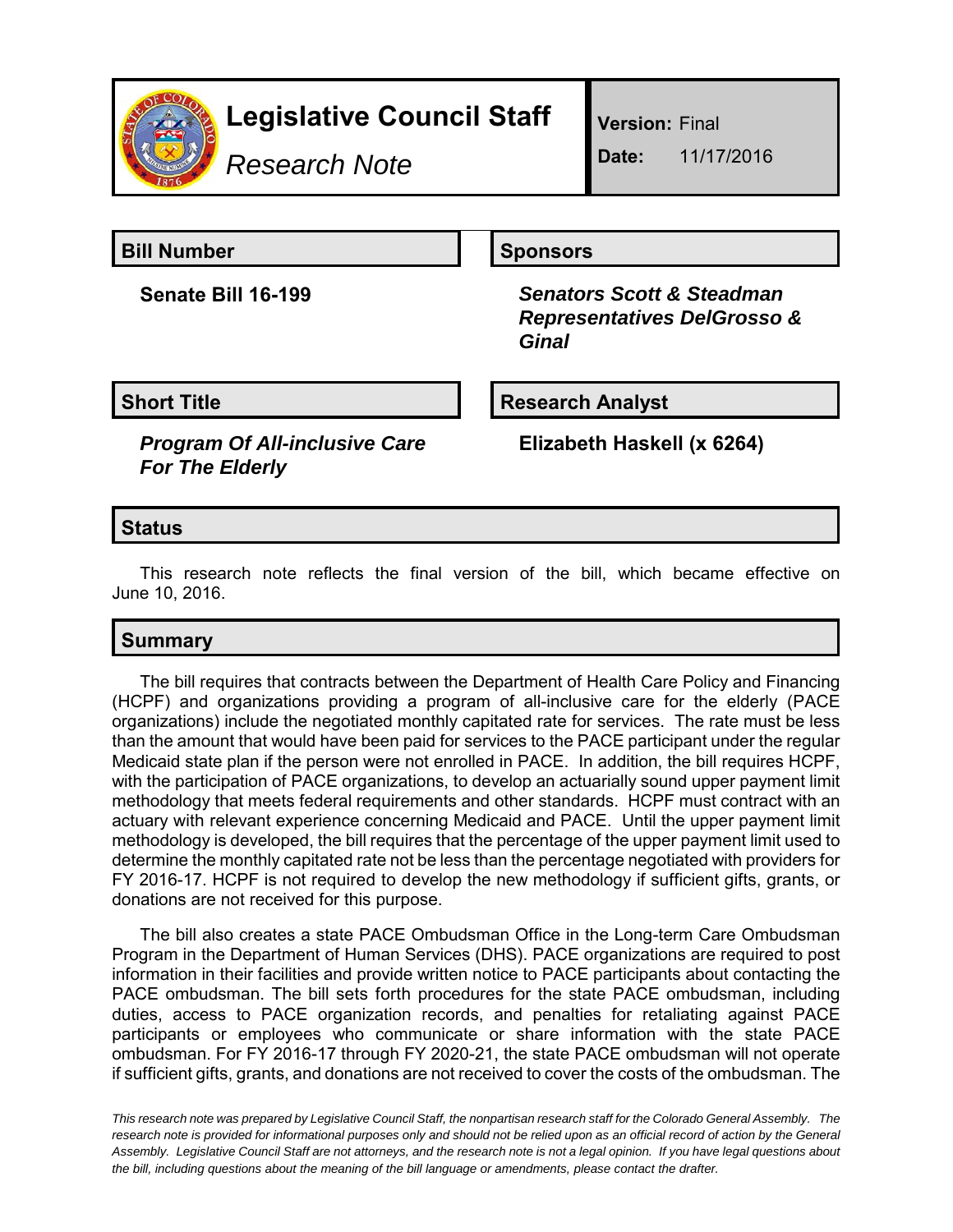

# **Legislative Council Staff**

*Research Note*

**Version:** Final

**Date:** 11/17/2016

**Bill Number Sponsors** 

**Senate Bill 16-199** *Senators Scott & Steadman Representatives DelGrosso & Ginal*

**Short Title Research Analyst** 

*Program Of All-inclusive Care For The Elderly*

**Elizabeth Haskell (x 6264)**

#### **Status**

This research note reflects the final version of the bill, which became effective on June 10, 2016.

## **Summary**

The bill requires that contracts between the Department of Health Care Policy and Financing (HCPF) and organizations providing a program of all-inclusive care for the elderly (PACE organizations) include the negotiated monthly capitated rate for services. The rate must be less than the amount that would have been paid for services to the PACE participant under the regular Medicaid state plan if the person were not enrolled in PACE. In addition, the bill requires HCPF, with the participation of PACE organizations, to develop an actuarially sound upper payment limit methodology that meets federal requirements and other standards. HCPF must contract with an actuary with relevant experience concerning Medicaid and PACE. Until the upper payment limit methodology is developed, the bill requires that the percentage of the upper payment limit used to determine the monthly capitated rate not be less than the percentage negotiated with providers for FY 2016-17. HCPF is not required to develop the new methodology if sufficient gifts, grants, or donations are not received for this purpose.

The bill also creates a state PACE Ombudsman Office in the Long-term Care Ombudsman Program in the Department of Human Services (DHS). PACE organizations are required to post information in their facilities and provide written notice to PACE participants about contacting the PACE ombudsman. The bill sets forth procedures for the state PACE ombudsman, including duties, access to PACE organization records, and penalties for retaliating against PACE participants or employees who communicate or share information with the state PACE ombudsman. For FY 2016-17 through FY 2020-21, the state PACE ombudsman will not operate if sufficient gifts, grants, and donations are not received to cover the costs of the ombudsman. The

*This research note was prepared by Legislative Council Staff, the nonpartisan research staff for the Colorado General Assembly. The research note is provided for informational purposes only and should not be relied upon as an official record of action by the General Assembly. Legislative Council Staff are not attorneys, and the research note is not a legal opinion. If you have legal questions about the bill, including questions about the meaning of the bill language or amendments, please contact the drafter.*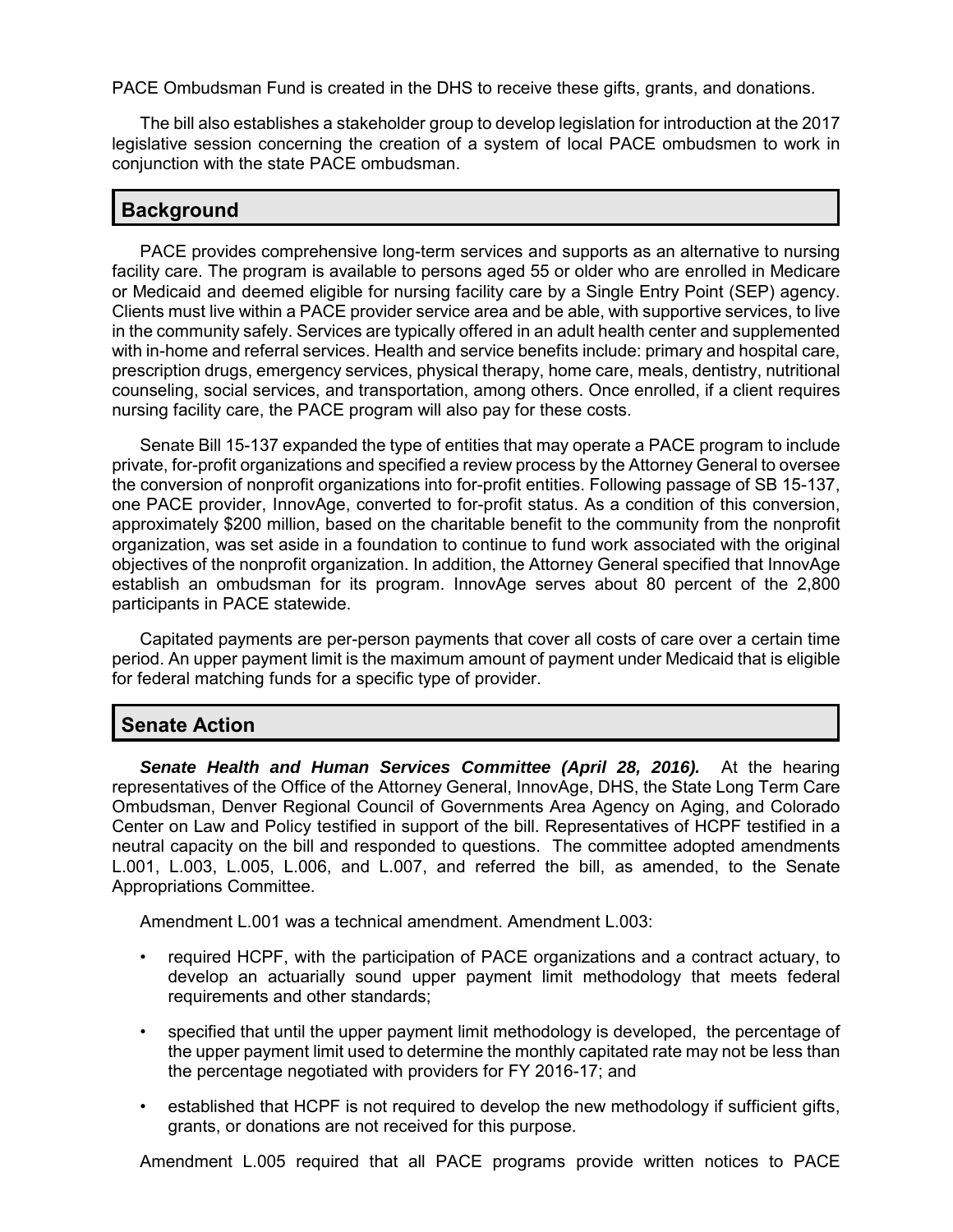PACE Ombudsman Fund is created in the DHS to receive these gifts, grants, and donations.

The bill also establishes a stakeholder group to develop legislation for introduction at the 2017 legislative session concerning the creation of a system of local PACE ombudsmen to work in conjunction with the state PACE ombudsman.

#### **Background**

PACE provides comprehensive long-term services and supports as an alternative to nursing facility care. The program is available to persons aged 55 or older who are enrolled in Medicare or Medicaid and deemed eligible for nursing facility care by a Single Entry Point (SEP) agency. Clients must live within a PACE provider service area and be able, with supportive services, to live in the community safely. Services are typically offered in an adult health center and supplemented with in-home and referral services. Health and service benefits include: primary and hospital care, prescription drugs, emergency services, physical therapy, home care, meals, dentistry, nutritional counseling, social services, and transportation, among others. Once enrolled, if a client requires nursing facility care, the PACE program will also pay for these costs.

Senate Bill 15-137 expanded the type of entities that may operate a PACE program to include private, for-profit organizations and specified a review process by the Attorney General to oversee the conversion of nonprofit organizations into for-profit entities. Following passage of SB 15-137, one PACE provider, InnovAge, converted to for-profit status. As a condition of this conversion, approximately \$200 million, based on the charitable benefit to the community from the nonprofit organization, was set aside in a foundation to continue to fund work associated with the original objectives of the nonprofit organization. In addition, the Attorney General specified that InnovAge establish an ombudsman for its program. InnovAge serves about 80 percent of the 2,800 participants in PACE statewide.

Capitated payments are per-person payments that cover all costs of care over a certain time period. An upper payment limit is the maximum amount of payment under Medicaid that is eligible for federal matching funds for a specific type of provider.

### **Senate Action**

*Senate Health and Human Services Committee (April 28, 2016).* At the hearing representatives of the Office of the Attorney General, InnovAge, DHS, the State Long Term Care Ombudsman, Denver Regional Council of Governments Area Agency on Aging, and Colorado Center on Law and Policy testified in support of the bill. Representatives of HCPF testified in a neutral capacity on the bill and responded to questions. The committee adopted amendments L.001, L.003, L.005, L.006, and L.007, and referred the bill, as amended, to the Senate Appropriations Committee.

Amendment L.001 was a technical amendment. Amendment L.003:

- required HCPF, with the participation of PACE organizations and a contract actuary, to develop an actuarially sound upper payment limit methodology that meets federal requirements and other standards;
- specified that until the upper payment limit methodology is developed, the percentage of the upper payment limit used to determine the monthly capitated rate may not be less than the percentage negotiated with providers for FY 2016-17; and
- established that HCPF is not required to develop the new methodology if sufficient gifts, grants, or donations are not received for this purpose.

Amendment L.005 required that all PACE programs provide written notices to PACE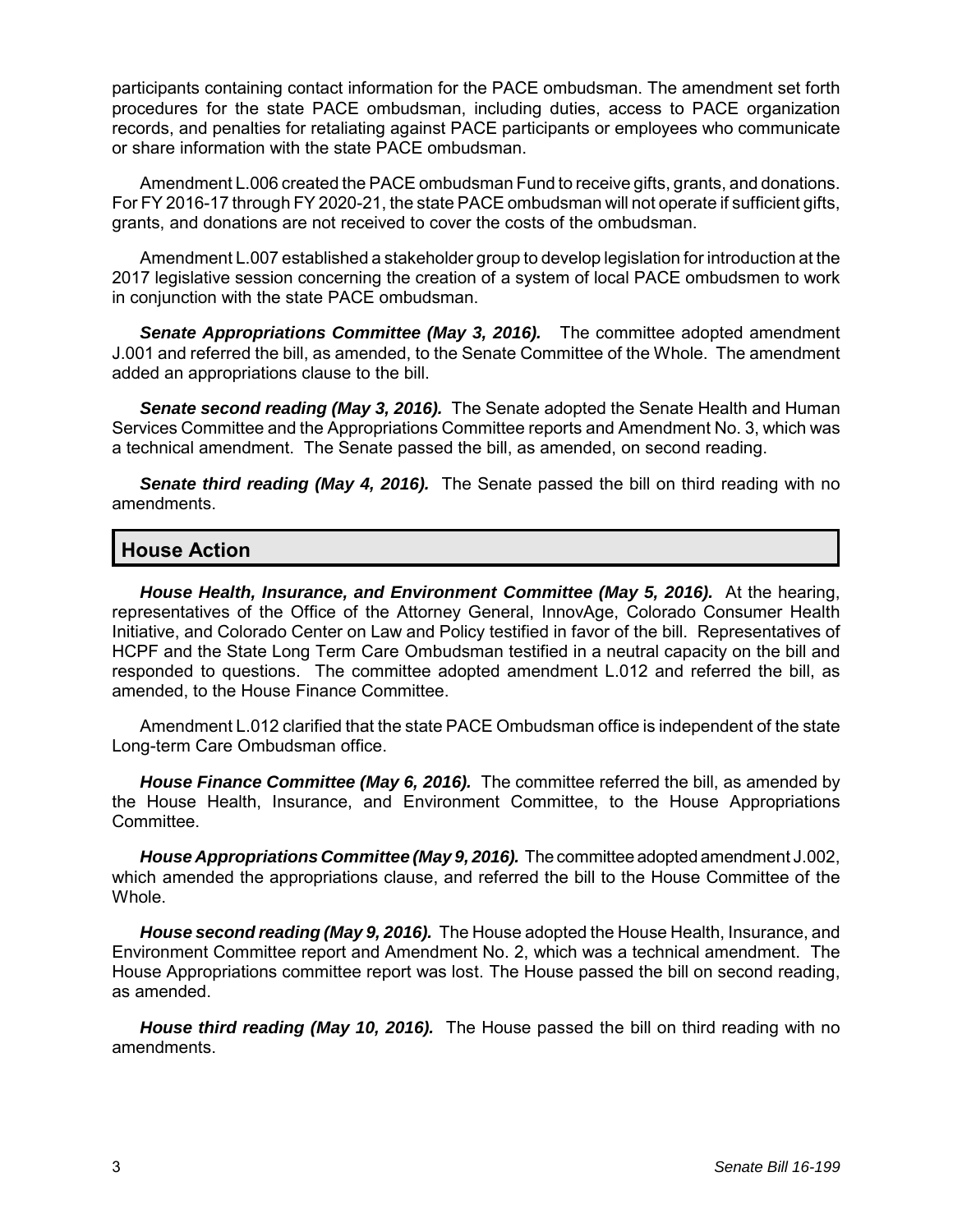participants containing contact information for the PACE ombudsman. The amendment set forth procedures for the state PACE ombudsman, including duties, access to PACE organization records, and penalties for retaliating against PACE participants or employees who communicate or share information with the state PACE ombudsman.

Amendment L.006 created the PACE ombudsman Fund to receive gifts, grants, and donations. For FY 2016-17 through FY 2020-21, the state PACE ombudsman will not operate if sufficient gifts, grants, and donations are not received to cover the costs of the ombudsman.

Amendment L.007 established a stakeholder group to develop legislation for introduction at the 2017 legislative session concerning the creation of a system of local PACE ombudsmen to work in conjunction with the state PACE ombudsman.

*Senate Appropriations Committee (May 3, 2016).* The committee adopted amendment J.001 and referred the bill, as amended, to the Senate Committee of the Whole. The amendment added an appropriations clause to the bill.

*Senate second reading (May 3, 2016).* The Senate adopted the Senate Health and Human Services Committee and the Appropriations Committee reports and Amendment No. 3, which was a technical amendment. The Senate passed the bill, as amended, on second reading.

*Senate third reading (May 4, 2016).* The Senate passed the bill on third reading with no amendments.

#### **House Action**

*House Health, Insurance, and Environment Committee (May 5, 2016).* At the hearing, representatives of the Office of the Attorney General, InnovAge, Colorado Consumer Health Initiative, and Colorado Center on Law and Policy testified in favor of the bill. Representatives of HCPF and the State Long Term Care Ombudsman testified in a neutral capacity on the bill and responded to questions. The committee adopted amendment L.012 and referred the bill, as amended, to the House Finance Committee.

Amendment L.012 clarified that the state PACE Ombudsman office is independent of the state Long-term Care Ombudsman office.

*House Finance Committee (May 6, 2016).* The committee referred the bill, as amended by the House Health, Insurance, and Environment Committee, to the House Appropriations Committee.

*House Appropriations Committee (May 9, 2016).* The committee adopted amendment J.002, which amended the appropriations clause, and referred the bill to the House Committee of the Whole.

*House second reading (May 9, 2016).* The House adopted the House Health, Insurance, and Environment Committee report and Amendment No. 2, which was a technical amendment. The House Appropriations committee report was lost. The House passed the bill on second reading, as amended.

*House third reading (May 10, 2016).* The House passed the bill on third reading with no amendments.